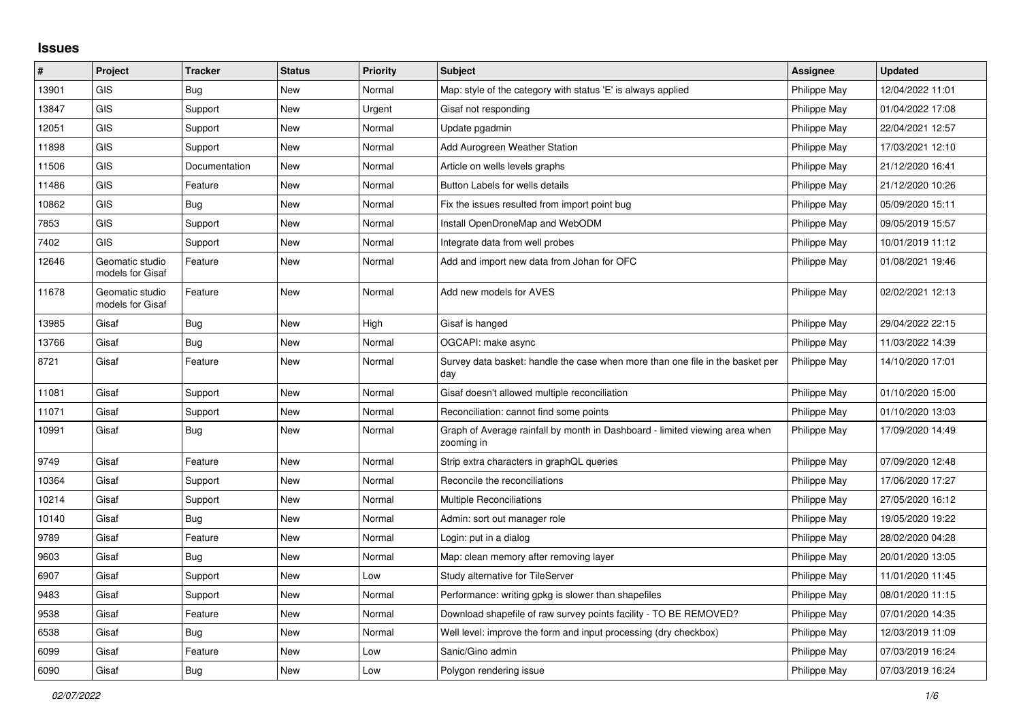## **Issues**

| #     | Project                             | <b>Tracker</b> | <b>Status</b> | <b>Priority</b> | <b>Subject</b>                                                                            | Assignee     | <b>Updated</b>   |
|-------|-------------------------------------|----------------|---------------|-----------------|-------------------------------------------------------------------------------------------|--------------|------------------|
| 13901 | <b>GIS</b>                          | Bug            | New           | Normal          | Map: style of the category with status 'E' is always applied                              | Philippe May | 12/04/2022 11:01 |
| 13847 | GIS                                 | Support        | New           | Urgent          | Gisaf not responding                                                                      | Philippe May | 01/04/2022 17:08 |
| 12051 | GIS                                 | Support        | New           | Normal          | Update pgadmin                                                                            | Philippe May | 22/04/2021 12:57 |
| 11898 | GIS                                 | Support        | <b>New</b>    | Normal          | Add Aurogreen Weather Station                                                             | Philippe May | 17/03/2021 12:10 |
| 11506 | GIS                                 | Documentation  | New           | Normal          | Article on wells levels graphs                                                            | Philippe May | 21/12/2020 16:41 |
| 11486 | <b>GIS</b>                          | Feature        | New           | Normal          | Button Labels for wells details                                                           | Philippe May | 21/12/2020 10:26 |
| 10862 | <b>GIS</b>                          | Bug            | New           | Normal          | Fix the issues resulted from import point bug                                             | Philippe May | 05/09/2020 15:11 |
| 7853  | <b>GIS</b>                          | Support        | New           | Normal          | Install OpenDroneMap and WebODM                                                           | Philippe May | 09/05/2019 15:57 |
| 7402  | <b>GIS</b>                          | Support        | New           | Normal          | Integrate data from well probes                                                           | Philippe May | 10/01/2019 11:12 |
| 12646 | Geomatic studio<br>models for Gisaf | Feature        | New           | Normal          | Add and import new data from Johan for OFC                                                | Philippe May | 01/08/2021 19:46 |
| 11678 | Geomatic studio<br>models for Gisaf | Feature        | New           | Normal          | Add new models for AVES                                                                   | Philippe May | 02/02/2021 12:13 |
| 13985 | Gisaf                               | Bug            | New           | High            | Gisaf is hanged                                                                           | Philippe May | 29/04/2022 22:15 |
| 13766 | Gisaf                               | <b>Bug</b>     | New           | Normal          | OGCAPI: make async                                                                        | Philippe May | 11/03/2022 14:39 |
| 8721  | Gisaf                               | Feature        | New           | Normal          | Survey data basket: handle the case when more than one file in the basket per<br>day      | Philippe May | 14/10/2020 17:01 |
| 11081 | Gisaf                               | Support        | New           | Normal          | Gisaf doesn't allowed multiple reconciliation                                             | Philippe May | 01/10/2020 15:00 |
| 11071 | Gisaf                               | Support        | New           | Normal          | Reconciliation: cannot find some points                                                   | Philippe May | 01/10/2020 13:03 |
| 10991 | Gisaf                               | Bug            | New           | Normal          | Graph of Average rainfall by month in Dashboard - limited viewing area when<br>zooming in | Philippe May | 17/09/2020 14:49 |
| 9749  | Gisaf                               | Feature        | <b>New</b>    | Normal          | Strip extra characters in graphQL queries                                                 | Philippe May | 07/09/2020 12:48 |
| 10364 | Gisaf                               | Support        | New           | Normal          | Reconcile the reconciliations                                                             | Philippe May | 17/06/2020 17:27 |
| 10214 | Gisaf                               | Support        | New           | Normal          | <b>Multiple Reconciliations</b>                                                           | Philippe May | 27/05/2020 16:12 |
| 10140 | Gisaf                               | Bug            | New           | Normal          | Admin: sort out manager role                                                              | Philippe May | 19/05/2020 19:22 |
| 9789  | Gisaf                               | Feature        | New           | Normal          | Login: put in a dialog                                                                    | Philippe May | 28/02/2020 04:28 |
| 9603  | Gisaf                               | Bug            | New           | Normal          | Map: clean memory after removing layer                                                    | Philippe May | 20/01/2020 13:05 |
| 6907  | Gisaf                               | Support        | <b>New</b>    | Low             | Study alternative for TileServer                                                          | Philippe May | 11/01/2020 11:45 |
| 9483  | Gisaf                               | Support        | New           | Normal          | Performance: writing gpkg is slower than shapefiles                                       | Philippe May | 08/01/2020 11:15 |
| 9538  | Gisaf                               | Feature        | New           | Normal          | Download shapefile of raw survey points facility - TO BE REMOVED?                         | Philippe May | 07/01/2020 14:35 |
| 6538  | Gisaf                               | Bug            | <b>New</b>    | Normal          | Well level: improve the form and input processing (dry checkbox)                          | Philippe May | 12/03/2019 11:09 |
| 6099  | Gisaf                               | Feature        | New           | Low             | Sanic/Gino admin                                                                          | Philippe May | 07/03/2019 16:24 |
| 6090  | Gisaf                               | Bug            | New           | Low             | Polygon rendering issue                                                                   | Philippe May | 07/03/2019 16:24 |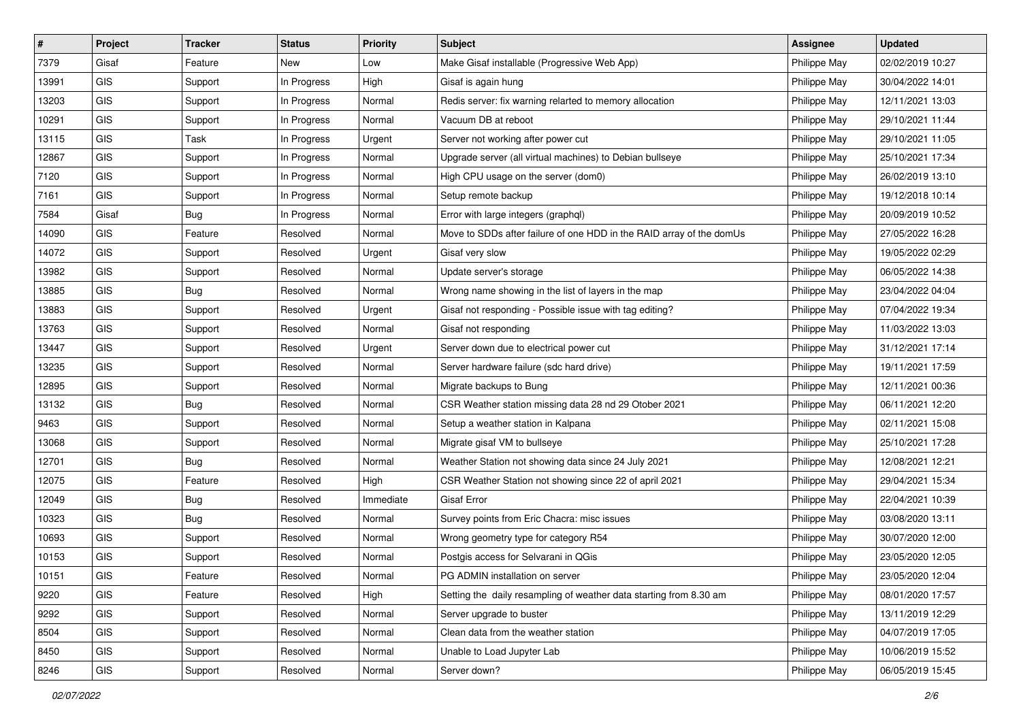| $\vert$ # | Project    | <b>Tracker</b> | <b>Status</b> | <b>Priority</b> | <b>Subject</b>                                                       | <b>Assignee</b> | <b>Updated</b>   |
|-----------|------------|----------------|---------------|-----------------|----------------------------------------------------------------------|-----------------|------------------|
| 7379      | Gisaf      | Feature        | New           | Low             | Make Gisaf installable (Progressive Web App)                         | Philippe May    | 02/02/2019 10:27 |
| 13991     | <b>GIS</b> | Support        | In Progress   | High            | Gisaf is again hung                                                  | Philippe May    | 30/04/2022 14:01 |
| 13203     | GIS        | Support        | In Progress   | Normal          | Redis server: fix warning relarted to memory allocation              | Philippe May    | 12/11/2021 13:03 |
| 10291     | GIS        | Support        | In Progress   | Normal          | Vacuum DB at reboot                                                  | Philippe May    | 29/10/2021 11:44 |
| 13115     | <b>GIS</b> | Task           | In Progress   | Urgent          | Server not working after power cut                                   | Philippe May    | 29/10/2021 11:05 |
| 12867     | <b>GIS</b> | Support        | In Progress   | Normal          | Upgrade server (all virtual machines) to Debian bullseye             | Philippe May    | 25/10/2021 17:34 |
| 7120      | GIS        | Support        | In Progress   | Normal          | High CPU usage on the server (dom0)                                  | Philippe May    | 26/02/2019 13:10 |
| 7161      | GIS        | Support        | In Progress   | Normal          | Setup remote backup                                                  | Philippe May    | 19/12/2018 10:14 |
| 7584      | Gisaf      | <b>Bug</b>     | In Progress   | Normal          | Error with large integers (graphql)                                  | Philippe May    | 20/09/2019 10:52 |
| 14090     | GIS        | Feature        | Resolved      | Normal          | Move to SDDs after failure of one HDD in the RAID array of the domUs | Philippe May    | 27/05/2022 16:28 |
| 14072     | GIS        | Support        | Resolved      | Urgent          | Gisaf very slow                                                      | Philippe May    | 19/05/2022 02:29 |
| 13982     | GIS        | Support        | Resolved      | Normal          | Update server's storage                                              | Philippe May    | 06/05/2022 14:38 |
| 13885     | GIS        | Bug            | Resolved      | Normal          | Wrong name showing in the list of layers in the map                  | Philippe May    | 23/04/2022 04:04 |
| 13883     | GIS        | Support        | Resolved      | Urgent          | Gisaf not responding - Possible issue with tag editing?              | Philippe May    | 07/04/2022 19:34 |
| 13763     | <b>GIS</b> | Support        | Resolved      | Normal          | Gisaf not responding                                                 | Philippe May    | 11/03/2022 13:03 |
| 13447     | GIS        | Support        | Resolved      | Urgent          | Server down due to electrical power cut                              | Philippe May    | 31/12/2021 17:14 |
| 13235     | GIS        | Support        | Resolved      | Normal          | Server hardware failure (sdc hard drive)                             | Philippe May    | 19/11/2021 17:59 |
| 12895     | <b>GIS</b> | Support        | Resolved      | Normal          | Migrate backups to Bung                                              | Philippe May    | 12/11/2021 00:36 |
| 13132     | <b>GIS</b> | <b>Bug</b>     | Resolved      | Normal          | CSR Weather station missing data 28 nd 29 Otober 2021                | Philippe May    | 06/11/2021 12:20 |
| 9463      | GIS        | Support        | Resolved      | Normal          | Setup a weather station in Kalpana                                   | Philippe May    | 02/11/2021 15:08 |
| 13068     | GIS        | Support        | Resolved      | Normal          | Migrate gisaf VM to bullseye                                         | Philippe May    | 25/10/2021 17:28 |
| 12701     | GIS        | <b>Bug</b>     | Resolved      | Normal          | Weather Station not showing data since 24 July 2021                  | Philippe May    | 12/08/2021 12:21 |
| 12075     | <b>GIS</b> | Feature        | Resolved      | High            | CSR Weather Station not showing since 22 of april 2021               | Philippe May    | 29/04/2021 15:34 |
| 12049     | <b>GIS</b> | <b>Bug</b>     | Resolved      | Immediate       | Gisaf Error                                                          | Philippe May    | 22/04/2021 10:39 |
| 10323     | GIS        | <b>Bug</b>     | Resolved      | Normal          | Survey points from Eric Chacra: misc issues                          | Philippe May    | 03/08/2020 13:11 |
| 10693     | GIS        | Support        | Resolved      | Normal          | Wrong geometry type for category R54                                 | Philippe May    | 30/07/2020 12:00 |
| 10153     | GIS        | Support        | Resolved      | Normal          | Postgis access for Selvarani in QGis                                 | Philippe May    | 23/05/2020 12:05 |
| 10151     | GIS        | Feature        | Resolved      | Normal          | PG ADMIN installation on server                                      | Philippe May    | 23/05/2020 12:04 |
| 9220      | <b>GIS</b> | Feature        | Resolved      | High            | Setting the daily resampling of weather data starting from 8.30 am   | Philippe May    | 08/01/2020 17:57 |
| 9292      | GIS        | Support        | Resolved      | Normal          | Server upgrade to buster                                             | Philippe May    | 13/11/2019 12:29 |
| 8504      | GIS        | Support        | Resolved      | Normal          | Clean data from the weather station                                  | Philippe May    | 04/07/2019 17:05 |
| 8450      | GIS        | Support        | Resolved      | Normal          | Unable to Load Jupyter Lab                                           | Philippe May    | 10/06/2019 15:52 |
| 8246      | GIS        | Support        | Resolved      | Normal          | Server down?                                                         | Philippe May    | 06/05/2019 15:45 |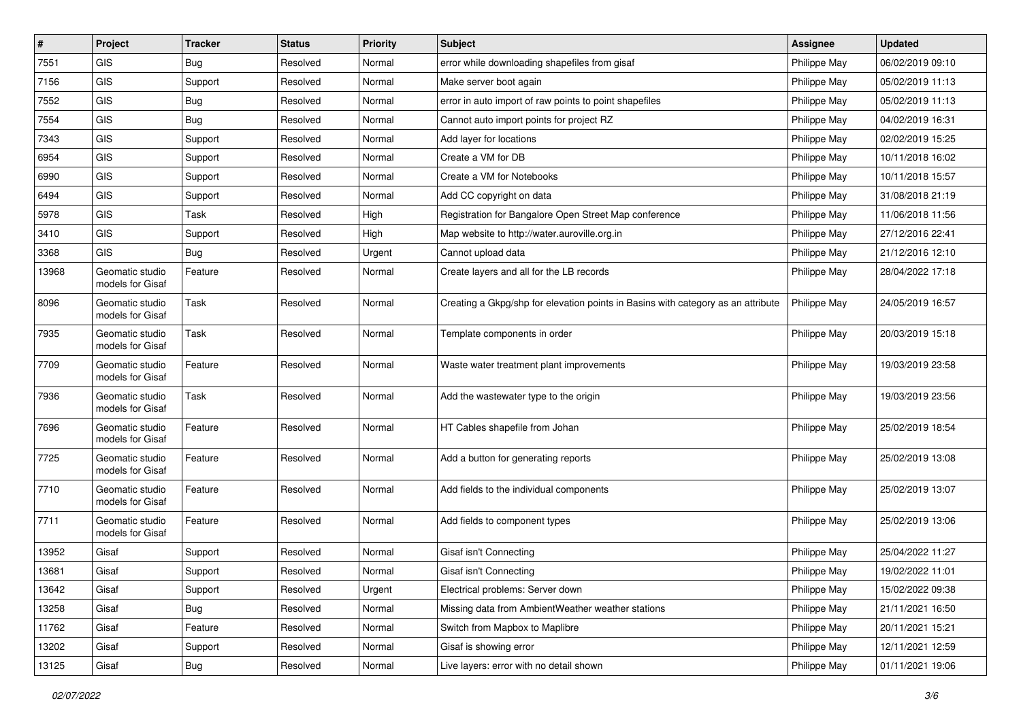| $\pmb{\#}$ | Project                             | <b>Tracker</b> | <b>Status</b> | <b>Priority</b> | <b>Subject</b>                                                                   | <b>Assignee</b> | <b>Updated</b>   |
|------------|-------------------------------------|----------------|---------------|-----------------|----------------------------------------------------------------------------------|-----------------|------------------|
| 7551       | GIS                                 | Bug            | Resolved      | Normal          | error while downloading shapefiles from gisaf                                    | Philippe May    | 06/02/2019 09:10 |
| 7156       | GIS                                 | Support        | Resolved      | Normal          | Make server boot again                                                           | Philippe May    | 05/02/2019 11:13 |
| 7552       | GIS                                 | Bug            | Resolved      | Normal          | error in auto import of raw points to point shapefiles                           | Philippe May    | 05/02/2019 11:13 |
| 7554       | GIS                                 | Bug            | Resolved      | Normal          | Cannot auto import points for project RZ                                         | Philippe May    | 04/02/2019 16:31 |
| 7343       | GIS                                 | Support        | Resolved      | Normal          | Add layer for locations                                                          | Philippe May    | 02/02/2019 15:25 |
| 6954       | GIS                                 | Support        | Resolved      | Normal          | Create a VM for DB                                                               | Philippe May    | 10/11/2018 16:02 |
| 6990       | GIS                                 | Support        | Resolved      | Normal          | Create a VM for Notebooks                                                        | Philippe May    | 10/11/2018 15:57 |
| 6494       | GIS                                 | Support        | Resolved      | Normal          | Add CC copyright on data                                                         | Philippe May    | 31/08/2018 21:19 |
| 5978       | GIS                                 | Task           | Resolved      | High            | Registration for Bangalore Open Street Map conference                            | Philippe May    | 11/06/2018 11:56 |
| 3410       | GIS                                 | Support        | Resolved      | High            | Map website to http://water.auroville.org.in                                     | Philippe May    | 27/12/2016 22:41 |
| 3368       | GIS                                 | Bug            | Resolved      | Urgent          | Cannot upload data                                                               | Philippe May    | 21/12/2016 12:10 |
| 13968      | Geomatic studio<br>models for Gisaf | Feature        | Resolved      | Normal          | Create layers and all for the LB records                                         | Philippe May    | 28/04/2022 17:18 |
| 8096       | Geomatic studio<br>models for Gisaf | Task           | Resolved      | Normal          | Creating a Gkpg/shp for elevation points in Basins with category as an attribute | Philippe May    | 24/05/2019 16:57 |
| 7935       | Geomatic studio<br>models for Gisaf | Task           | Resolved      | Normal          | Template components in order                                                     | Philippe May    | 20/03/2019 15:18 |
| 7709       | Geomatic studio<br>models for Gisaf | Feature        | Resolved      | Normal          | Waste water treatment plant improvements                                         | Philippe May    | 19/03/2019 23:58 |
| 7936       | Geomatic studio<br>models for Gisaf | Task           | Resolved      | Normal          | Add the wastewater type to the origin                                            | Philippe May    | 19/03/2019 23:56 |
| 7696       | Geomatic studio<br>models for Gisaf | Feature        | Resolved      | Normal          | HT Cables shapefile from Johan                                                   | Philippe May    | 25/02/2019 18:54 |
| 7725       | Geomatic studio<br>models for Gisaf | Feature        | Resolved      | Normal          | Add a button for generating reports                                              | Philippe May    | 25/02/2019 13:08 |
| 7710       | Geomatic studio<br>models for Gisaf | Feature        | Resolved      | Normal          | Add fields to the individual components                                          | Philippe May    | 25/02/2019 13:07 |
| 7711       | Geomatic studio<br>models for Gisaf | Feature        | Resolved      | Normal          | Add fields to component types                                                    | Philippe May    | 25/02/2019 13:06 |
| 13952      | Gisaf                               | Support        | Resolved      | Normal          | Gisaf isn't Connecting                                                           | Philippe May    | 25/04/2022 11:27 |
| 13681      | Gisaf                               | Support        | Resolved      | Normal          | Gisaf isn't Connecting                                                           | Philippe May    | 19/02/2022 11:01 |
| 13642      | Gisaf                               | Support        | Resolved      | Urgent          | Electrical problems: Server down                                                 | Philippe May    | 15/02/2022 09:38 |
| 13258      | Gisaf                               | <b>Bug</b>     | Resolved      | Normal          | Missing data from AmbientWeather weather stations                                | Philippe May    | 21/11/2021 16:50 |
| 11762      | Gisaf                               | Feature        | Resolved      | Normal          | Switch from Mapbox to Maplibre                                                   | Philippe May    | 20/11/2021 15:21 |
| 13202      | Gisaf                               | Support        | Resolved      | Normal          | Gisaf is showing error                                                           | Philippe May    | 12/11/2021 12:59 |
| 13125      | Gisaf                               | Bug            | Resolved      | Normal          | Live layers: error with no detail shown                                          | Philippe May    | 01/11/2021 19:06 |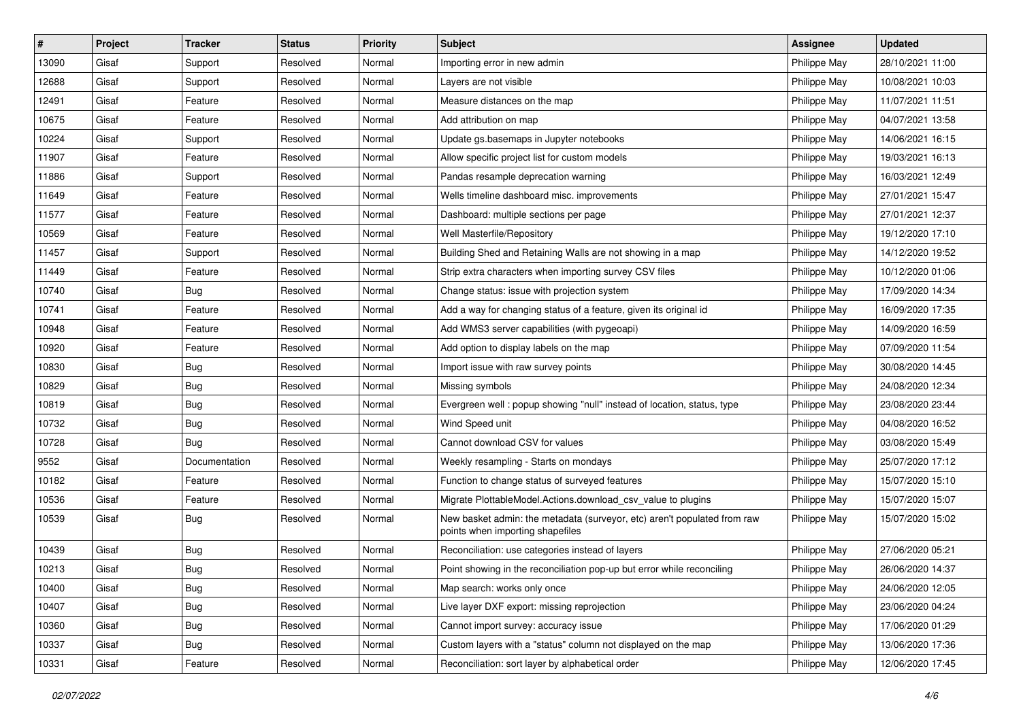| #     | Project | <b>Tracker</b> | <b>Status</b> | <b>Priority</b> | <b>Subject</b>                                                                                               | <b>Assignee</b> | <b>Updated</b>   |
|-------|---------|----------------|---------------|-----------------|--------------------------------------------------------------------------------------------------------------|-----------------|------------------|
| 13090 | Gisaf   | Support        | Resolved      | Normal          | Importing error in new admin                                                                                 | Philippe May    | 28/10/2021 11:00 |
| 12688 | Gisaf   | Support        | Resolved      | Normal          | Layers are not visible                                                                                       | Philippe May    | 10/08/2021 10:03 |
| 12491 | Gisaf   | Feature        | Resolved      | Normal          | Measure distances on the map                                                                                 | Philippe May    | 11/07/2021 11:51 |
| 10675 | Gisaf   | Feature        | Resolved      | Normal          | Add attribution on map                                                                                       | Philippe May    | 04/07/2021 13:58 |
| 10224 | Gisaf   | Support        | Resolved      | Normal          | Update gs.basemaps in Jupyter notebooks                                                                      | Philippe May    | 14/06/2021 16:15 |
| 11907 | Gisaf   | Feature        | Resolved      | Normal          | Allow specific project list for custom models                                                                | Philippe May    | 19/03/2021 16:13 |
| 11886 | Gisaf   | Support        | Resolved      | Normal          | Pandas resample deprecation warning                                                                          | Philippe May    | 16/03/2021 12:49 |
| 11649 | Gisaf   | Feature        | Resolved      | Normal          | Wells timeline dashboard misc. improvements                                                                  | Philippe May    | 27/01/2021 15:47 |
| 11577 | Gisaf   | Feature        | Resolved      | Normal          | Dashboard: multiple sections per page                                                                        | Philippe May    | 27/01/2021 12:37 |
| 10569 | Gisaf   | Feature        | Resolved      | Normal          | Well Masterfile/Repository                                                                                   | Philippe May    | 19/12/2020 17:10 |
| 11457 | Gisaf   | Support        | Resolved      | Normal          | Building Shed and Retaining Walls are not showing in a map                                                   | Philippe May    | 14/12/2020 19:52 |
| 11449 | Gisaf   | Feature        | Resolved      | Normal          | Strip extra characters when importing survey CSV files                                                       | Philippe May    | 10/12/2020 01:06 |
| 10740 | Gisaf   | Bug            | Resolved      | Normal          | Change status: issue with projection system                                                                  | Philippe May    | 17/09/2020 14:34 |
| 10741 | Gisaf   | Feature        | Resolved      | Normal          | Add a way for changing status of a feature, given its original id                                            | Philippe May    | 16/09/2020 17:35 |
| 10948 | Gisaf   | Feature        | Resolved      | Normal          | Add WMS3 server capabilities (with pygeoapi)                                                                 | Philippe May    | 14/09/2020 16:59 |
| 10920 | Gisaf   | Feature        | Resolved      | Normal          | Add option to display labels on the map                                                                      | Philippe May    | 07/09/2020 11:54 |
| 10830 | Gisaf   | <b>Bug</b>     | Resolved      | Normal          | Import issue with raw survey points                                                                          | Philippe May    | 30/08/2020 14:45 |
| 10829 | Gisaf   | Bug            | Resolved      | Normal          | Missing symbols                                                                                              | Philippe May    | 24/08/2020 12:34 |
| 10819 | Gisaf   | Bug            | Resolved      | Normal          | Evergreen well : popup showing "null" instead of location, status, type                                      | Philippe May    | 23/08/2020 23:44 |
| 10732 | Gisaf   | <b>Bug</b>     | Resolved      | Normal          | Wind Speed unit                                                                                              | Philippe May    | 04/08/2020 16:52 |
| 10728 | Gisaf   | Bug            | Resolved      | Normal          | Cannot download CSV for values                                                                               | Philippe May    | 03/08/2020 15:49 |
| 9552  | Gisaf   | Documentation  | Resolved      | Normal          | Weekly resampling - Starts on mondays                                                                        | Philippe May    | 25/07/2020 17:12 |
| 10182 | Gisaf   | Feature        | Resolved      | Normal          | Function to change status of surveyed features                                                               | Philippe May    | 15/07/2020 15:10 |
| 10536 | Gisaf   | Feature        | Resolved      | Normal          | Migrate PlottableModel.Actions.download csv value to plugins                                                 | Philippe May    | 15/07/2020 15:07 |
| 10539 | Gisaf   | Bug            | Resolved      | Normal          | New basket admin: the metadata (surveyor, etc) aren't populated from raw<br>points when importing shapefiles | Philippe May    | 15/07/2020 15:02 |
| 10439 | Gisaf   | Bug            | Resolved      | Normal          | Reconciliation: use categories instead of layers                                                             | Philippe May    | 27/06/2020 05:21 |
| 10213 | Gisaf   | <b>Bug</b>     | Resolved      | Normal          | Point showing in the reconciliation pop-up but error while reconciling                                       | Philippe May    | 26/06/2020 14:37 |
| 10400 | Gisaf   | Bug            | Resolved      | Normal          | Map search: works only once                                                                                  | Philippe May    | 24/06/2020 12:05 |
| 10407 | Gisaf   | <b>Bug</b>     | Resolved      | Normal          | Live layer DXF export: missing reprojection                                                                  | Philippe May    | 23/06/2020 04:24 |
| 10360 | Gisaf   | <b>Bug</b>     | Resolved      | Normal          | Cannot import survey: accuracy issue                                                                         | Philippe May    | 17/06/2020 01:29 |
| 10337 | Gisaf   | <b>Bug</b>     | Resolved      | Normal          | Custom layers with a "status" column not displayed on the map                                                | Philippe May    | 13/06/2020 17:36 |
| 10331 | Gisaf   | Feature        | Resolved      | Normal          | Reconciliation: sort layer by alphabetical order                                                             | Philippe May    | 12/06/2020 17:45 |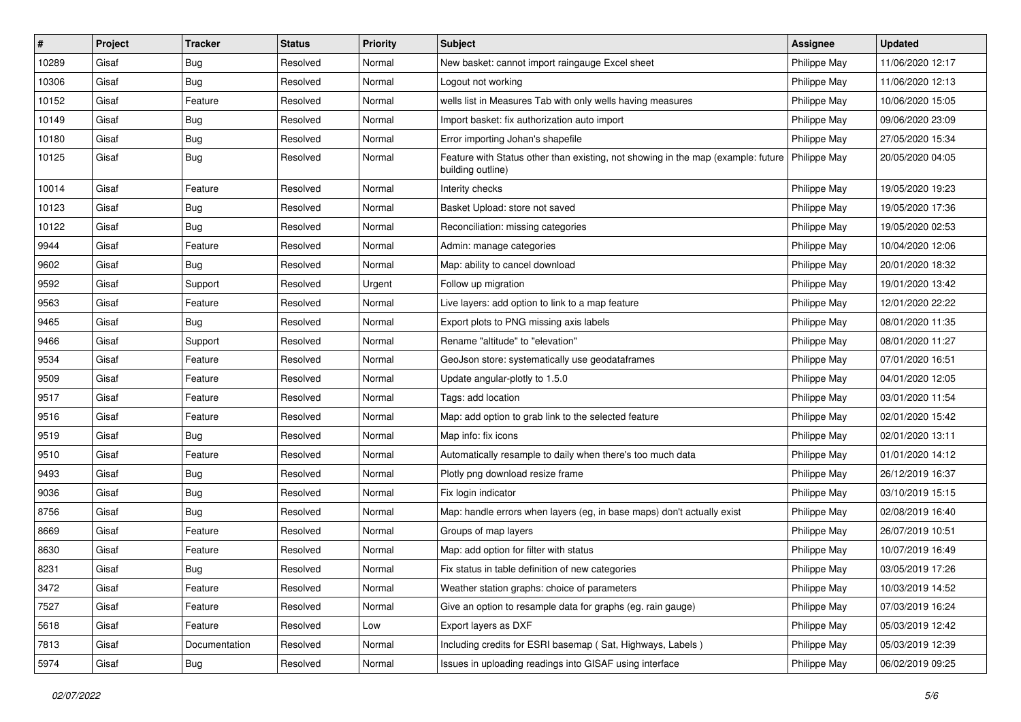| #     | Project | <b>Tracker</b> | <b>Status</b> | <b>Priority</b> | <b>Subject</b>                                                                                        | <b>Assignee</b> | <b>Updated</b>   |
|-------|---------|----------------|---------------|-----------------|-------------------------------------------------------------------------------------------------------|-----------------|------------------|
| 10289 | Gisaf   | Bug            | Resolved      | Normal          | New basket: cannot import raingauge Excel sheet                                                       | Philippe May    | 11/06/2020 12:17 |
| 10306 | Gisaf   | Bug            | Resolved      | Normal          | Logout not working                                                                                    | Philippe May    | 11/06/2020 12:13 |
| 10152 | Gisaf   | Feature        | Resolved      | Normal          | wells list in Measures Tab with only wells having measures                                            | Philippe May    | 10/06/2020 15:05 |
| 10149 | Gisaf   | <b>Bug</b>     | Resolved      | Normal          | Import basket: fix authorization auto import                                                          | Philippe May    | 09/06/2020 23:09 |
| 10180 | Gisaf   | Bug            | Resolved      | Normal          | Error importing Johan's shapefile                                                                     | Philippe May    | 27/05/2020 15:34 |
| 10125 | Gisaf   | <b>Bug</b>     | Resolved      | Normal          | Feature with Status other than existing, not showing in the map (example: future<br>building outline) | Philippe May    | 20/05/2020 04:05 |
| 10014 | Gisaf   | Feature        | Resolved      | Normal          | Interity checks                                                                                       | Philippe May    | 19/05/2020 19:23 |
| 10123 | Gisaf   | <b>Bug</b>     | Resolved      | Normal          | Basket Upload: store not saved                                                                        | Philippe May    | 19/05/2020 17:36 |
| 10122 | Gisaf   | <b>Bug</b>     | Resolved      | Normal          | Reconciliation: missing categories                                                                    | Philippe May    | 19/05/2020 02:53 |
| 9944  | Gisaf   | Feature        | Resolved      | Normal          | Admin: manage categories                                                                              | Philippe May    | 10/04/2020 12:06 |
| 9602  | Gisaf   | <b>Bug</b>     | Resolved      | Normal          | Map: ability to cancel download                                                                       | Philippe May    | 20/01/2020 18:32 |
| 9592  | Gisaf   | Support        | Resolved      | Urgent          | Follow up migration                                                                                   | Philippe May    | 19/01/2020 13:42 |
| 9563  | Gisaf   | Feature        | Resolved      | Normal          | Live layers: add option to link to a map feature                                                      | Philippe May    | 12/01/2020 22:22 |
| 9465  | Gisaf   | <b>Bug</b>     | Resolved      | Normal          | Export plots to PNG missing axis labels                                                               | Philippe May    | 08/01/2020 11:35 |
| 9466  | Gisaf   | Support        | Resolved      | Normal          | Rename "altitude" to "elevation"                                                                      | Philippe May    | 08/01/2020 11:27 |
| 9534  | Gisaf   | Feature        | Resolved      | Normal          | GeoJson store: systematically use geodataframes                                                       | Philippe May    | 07/01/2020 16:51 |
| 9509  | Gisaf   | Feature        | Resolved      | Normal          | Update angular-plotly to 1.5.0                                                                        | Philippe May    | 04/01/2020 12:05 |
| 9517  | Gisaf   | Feature        | Resolved      | Normal          | Tags: add location                                                                                    | Philippe May    | 03/01/2020 11:54 |
| 9516  | Gisaf   | Feature        | Resolved      | Normal          | Map: add option to grab link to the selected feature                                                  | Philippe May    | 02/01/2020 15:42 |
| 9519  | Gisaf   | <b>Bug</b>     | Resolved      | Normal          | Map info: fix icons                                                                                   | Philippe May    | 02/01/2020 13:11 |
| 9510  | Gisaf   | Feature        | Resolved      | Normal          | Automatically resample to daily when there's too much data                                            | Philippe May    | 01/01/2020 14:12 |
| 9493  | Gisaf   | Bug            | Resolved      | Normal          | Plotly png download resize frame                                                                      | Philippe May    | 26/12/2019 16:37 |
| 9036  | Gisaf   | Bug            | Resolved      | Normal          | Fix login indicator                                                                                   | Philippe May    | 03/10/2019 15:15 |
| 8756  | Gisaf   | <b>Bug</b>     | Resolved      | Normal          | Map: handle errors when layers (eg, in base maps) don't actually exist                                | Philippe May    | 02/08/2019 16:40 |
| 8669  | Gisaf   | Feature        | Resolved      | Normal          | Groups of map layers                                                                                  | Philippe May    | 26/07/2019 10:51 |
| 8630  | Gisaf   | Feature        | Resolved      | Normal          | Map: add option for filter with status                                                                | Philippe May    | 10/07/2019 16:49 |
| 8231  | Gisaf   | <b>Bug</b>     | Resolved      | Normal          | Fix status in table definition of new categories                                                      | Philippe May    | 03/05/2019 17:26 |
| 3472  | Gisaf   | Feature        | Resolved      | Normal          | Weather station graphs: choice of parameters                                                          | Philippe May    | 10/03/2019 14:52 |
| 7527  | Gisaf   | Feature        | Resolved      | Normal          | Give an option to resample data for graphs (eg. rain gauge)                                           | Philippe May    | 07/03/2019 16:24 |
| 5618  | Gisaf   | Feature        | Resolved      | Low             | Export layers as DXF                                                                                  | Philippe May    | 05/03/2019 12:42 |
| 7813  | Gisaf   | Documentation  | Resolved      | Normal          | Including credits for ESRI basemap (Sat, Highways, Labels)                                            | Philippe May    | 05/03/2019 12:39 |
| 5974  | Gisaf   | <b>Bug</b>     | Resolved      | Normal          | Issues in uploading readings into GISAF using interface                                               | Philippe May    | 06/02/2019 09:25 |